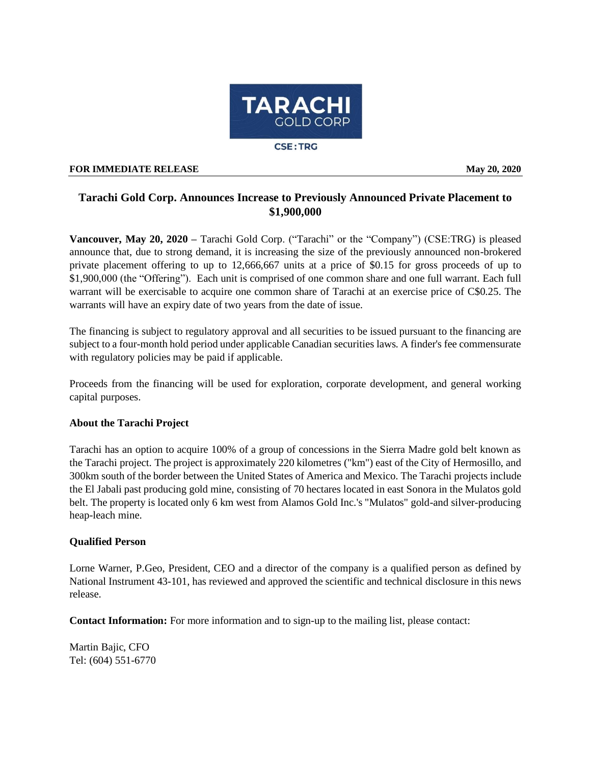

## **FOR IMMEDIATE RELEASE May 20, 2020**

## **Tarachi Gold Corp. Announces Increase to Previously Announced Private Placement to \$1,900,000**

**Vancouver, May 20, 2020 –** Tarachi Gold Corp. ("Tarachi" or the "Company") (CSE:TRG) is pleased announce that, due to strong demand, it is increasing the size of the previously announced non-brokered private placement offering to up to 12,666,667 units at a price of \$0.15 for gross proceeds of up to \$1,900,000 (the "Offering"). Each unit is comprised of one common share and one full warrant. Each full warrant will be exercisable to acquire one common share of Tarachi at an exercise price of C\$0.25. The warrants will have an expiry date of two years from the date of issue.

The financing is subject to regulatory approval and all securities to be issued pursuant to the financing are subject to a four-month hold period under applicable Canadian securities laws. A finder's fee commensurate with regulatory policies may be paid if applicable.

Proceeds from the financing will be used for exploration, corporate development, and general working capital purposes.

## **About the Tarachi Project**

Tarachi has an option to acquire 100% of a group of concessions in the Sierra Madre gold belt known as the Tarachi project. The project is approximately 220 kilometres ("km") east of the City of Hermosillo, and 300km south of the border between the United States of America and Mexico. The Tarachi projects include the El Jabali past producing gold mine, consisting of 70 hectares located in east Sonora in the Mulatos gold belt. The property is located only 6 km west from Alamos Gold Inc.'s "Mulatos" gold-and silver-producing heap-leach mine.

## **Qualified Person**

Lorne Warner, P.Geo, President, CEO and a director of the company is a qualified person as defined by National Instrument 43-101, has reviewed and approved the scientific and technical disclosure in this news release.

**Contact Information:** For more information and to sign-up to the mailing list, please contact:

Martin Bajic, CFO Tel: (604) 551-6770